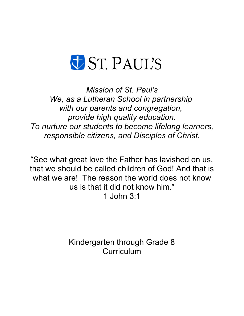

*Mission of St. Paul's We, as a Lutheran School in partnership with our parents and congregation, provide high quality education. To nurture our students to become lifelong learners, responsible citizens, and Disciples of Christ.*

"See what great love the Father has lavished on us, that we should be called children of God! And that is what we are! The reason the world does not know us is that it did not know him." 1 John 3:1

> Kindergarten through Grade 8 **Curriculum**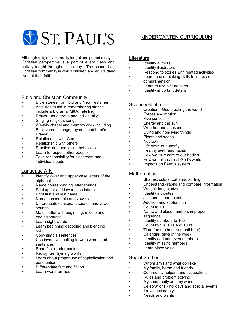# **UST. PAUL'S**

Although religion is formally taught one period a day, a Christian perspective is a part of every class and activity taught throughout the day. The school is a Christian community in which children and adults daily live out their faith.

# Bible and Christian Community

- Bible stories from Old and New Testament
- Activities to aid in remembering stories include art, drama, Q&A, retelling
- Prayer as a group and individually
- Singing religious songs
- Weekly chapel and memory work including Bible verses, songs, rhymes, and Lord's Prayer
- Relationship with God
- Relationship with others
- Practice kind and loving behaviors
- Learn to respect other people
- Take responsibility for classroom and individual needs

#### Language Arts

- Identify lower and upper case letters of the alphabet
- Name corresponding letter sounds
- Print upper and lower case letters
- Print first and last name
- Name consonants and vowels
- Differentiate consonant sounds and vowel sounds
- Match letter with beginning, middle and ending sounds
- Learn sight words
- Learn beginning decoding and blending skills
- Copy simple sentences
- Use inventive spelling to write words and sentences
- Read first-reader books
- Recognize rhyming words
- Learn about proper use of capitalization and punctuation
- Differentiate fact and fiction
- Learn word families

# KINDERGARTEN CURRICULUM

#### **Literature**

- Identify authors
- Identify illustrators
- Respond to stories with related activities
- Learn to use thinking skills to increase comprehension
- Learn to use picture cues
- Identify important details

#### Science/Health

- Creation God creating the world
- Forces and motion
- Five senses
- Energy and the sun
- Weather and seasons
- Living and non-living things
- Plants and seeds
- Nutrition
- Life cycle of butterfly
- Healthy teeth and habits
- How we take care of our bodies
- How we take care of God's world
- Impacts on Earth's system

### **Mathematics**

- Shapes, colors, patterns, sorting
- Understand graphs and compare information
- Weight, length, size
- Identify attributes
- Join and separate sets
- Addition and subtraction
- Count to 100
- Name and place numbers in proper sequence
- Identify numbers to 100
- Count by 5's, 10's and 100's
- Time (on the hour and half hour)
- Calendar, days of the week
- Identify odd and even numbers
- Identify missing numbers
- Learn place value

#### Social Studies

- Whom am I and what do I like
- My family, home and friends
- Community helpers and occupations
- Rules and problem solving
- My community and my world
- Celebrations holidays and special events
- Travel and safety
- Needs and wants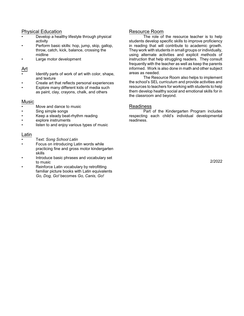- Develop a healthy lifestyle through physical activity
- Perform basic skills: hop, jump, skip, gallop, throw, catch, kick, balance, crossing the midline
- Large motor development

## Art

- Identify parts of work of art with color, shape, and texture
- Create art that reflects personal experiences
- Explore many different kids of media such as paint, clay, crayons, chalk, and others

#### Music

- Move and dance to music
- Sing simple songs
- Keep a steady beat-rhythm reading
- explore instruments
- listen to and enjoy various types of music

#### Latin

- Text: *Song School Latin*
- Focus on introducing Latin words while practicing fine and gross motor kindergarten skills
- Introduce basic phrases and vocabulary set to music
- Reinforce Latin vocabulary by retrofitting familiar picture books with Latin equivalents *Go, Dog, Go!* becomes *Go, Canis, Go!*

### Resource Room

The role of the resource teacher is to help students develop specific skills to improve proficiency in reading that will contribute to academic growth. They work with students in small groups or individually, using alternate activities and explicit methods of instruction that help struggling readers. They consult frequently with the teacher as well as keep the parents informed. Work is also done in math and other subject areas as needed.

The Resource Room also helps to implement the school's SEL curriculum and provide activities and resources to teachers for working with students to help them develop healthy social and emotional skills for in the classroom and beyond.

#### Readiness

Part of the Kindergarten Program includes respecting each child's individual developmental readiness.

2/2022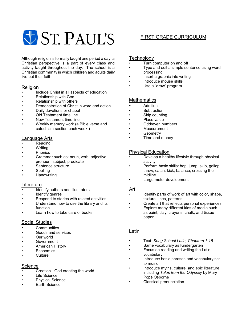

Although religion is formally taught one period a day, a Christian perspective is a part of every class and activity taught throughout the day. The school is a Christian community in which children and adults daily live out their faith.

## Religion

- Include Christ in all aspects of education<br>• Relationship with God
- Relationship with God
- Relationship with others
- Demonstration of Christ in word and action
- Daily devotions or chapel
- Old Testament time line
- New Testament time line
- Weekly memory work (a Bible verse and catechism section each week.)

#### Language Arts

- Reading
- Writing
- **Phonics**
- Grammar such as: noun, verb, adjective, pronoun, subject, predicate
- Sentence structure
- **Spelling**
- Handwriting

#### Literature

- Identify authors and illustrators
- Identify genres
- Respond to stories with related activities
- Understand how to use the library and its function
- Learn how to take care of books

## Social Studies

- **Communities**
- Goods and services
- Our world
- **Government**
- American History
- **Economics**
- **Culture**

#### **Science**

- Creation God creating the world
- **Life Science**
- **Physical Science**
- Earth Science

# FIRST GRADE CURRICULUM

## **Technology**

- Turn computer on and off
- Type and edit a simple sentence using word processing
- Insert a graphic into writing
- Introduce mouse skills
- Use a "draw" program

## **Mathematics**

- **Addition**
- **Subtraction**
- Skip counting
- Place value
- Odd/even numbers
- **Measurement**
- **Geometry**
- Time and money

## Physical Education

- Develop a healthy lifestyle through physical activity
- Perform basic skills: hop, jump, skip, gallop, throw, catch, kick, balance, crossing the midline
- Large motor development

#### Art

- Identify parts of work of art with color, shape, texture, lines, patterns
- Create art that reflects personal experiences
- Explore many different kids of media such as paint, clay, crayons, chalk, and tissue paper

#### Latin

- Text: *Song School Latin, Chapters 1-16*
- Same vocabulary as Kindergarten
- Focus on reading and writing the Latin vocabulary
- Introduce basic phrases and vocabulary set to music
- Introduce myths, culture, and epic literature including *Tales from the Odyssey* by Mary Pope Osborne
- Classical pronunciation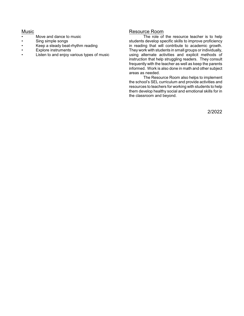### Music

- Move and dance to music
- Sing simple songs
- Keep a steady beat-rhythm reading<br>• Fynlore instruments
- Explore instruments
- Listen to and enjoy various types of music

#### Resource Room

The role of the resource teacher is to help students develop specific skills to improve proficiency in reading that will contribute to academic growth. They work with students in small groups or individually, using alternate activities and explicit methods of instruction that help struggling readers. They consult frequently with the teacher as well as keep the parents informed. Work is also done in math and other subject areas as needed.

The Resource Room also helps to implement the school's SEL curriculum and provide activities and resources to teachers for working with students to help them develop healthy social and emotional skills for in the classroom and beyond.

2/2022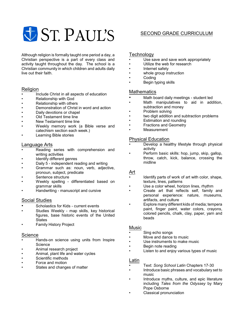Although religion is formally taught one period a day, a Christian perspective is a part of every class and activity taught throughout the day. The school is a Christian community in which children and adults daily live out their faith.

## Religion

- Include Christ in all aspects of education
- Relationship with God
- Relationship with others
- Demonstration of Christ in word and action
- Daily devotions or chapel
- Old Testament time line
- New Testament time line
- Weekly memory work (a Bible verse and catechism section each week.)
- Learning Bible stories

#### Language Arts

- Reading series with comprehension and writing activities
- Identify different genres
- Daily 5 independent reading and writing
- Grammar such as: noun, verb, adjective, pronoun, subject, predicate
- Sentence structure
- Weekly spelling differentiated based on grammar skills
- Handwriting manuscript and cursive

#### Social Studies

- Scholastics for Kids current events
- Studies Weekly map skills, key historical figures, base historic events of the United States
- Family History Project

#### **Science**

- Hands-on science using units from Inspire Science
- Animal research project
- Animal, plant life and water cycles
- Scientific methods
- Force and motion
- States and changes of matter

# SECOND GRADE CURRICULUM

# **Technology**

- Use save and save work appropriately
- Utilize the web for research
- Internet safety
- whole group instruction
- Coding
- Begin typing skills

### **Mathematics**

- Math board daily meetings student led
- Math manipulatives to aid in addition, subtraction and money
- Problem solving
- two digit addition and subtraction problems
- **Estimation and rounding**
- Fractions and Geometry
- **Measurement**

## Physical Education

- Develop a healthy lifestyle through physical activity
- Perform basic skills: hop, jump, skip, gallop, throw, catch, kick, balance, crossing the midline

#### Art

- Identify parts of work of art with color, shape, texture, lines, patterns
- Use a color wheel, horizon lines, rhythm
- Create art that reflects self, family and personal experience: nature, museums, artifacts, and culture
- Explore many different kids of media; tempera paint, finger paint, water colors, crayons, colored pencils, chalk, clay, paper, yarn and beads

#### Music

- Sing echo songs
- Move and dance to music
- Use instruments to make music
- Begin note reading
- Listen to and enjoy various types of music

#### Latin

- Text: *Song School Latin* Chapters 17-30
- Introduce basic phrases and vocabulary set to music
- Introduce myths, culture, and epic literature including *Tales from the Odyssey* by Mary Pope Osborne
- Classical pronunciation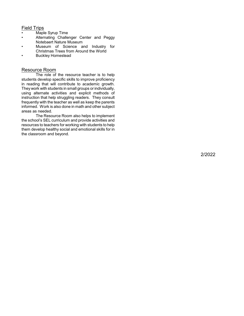## Field Trips

- Maple Syrup Tim e
- Al ternating Challenger Center and Peggy Notebaert Nature Museum
- Museum of Scienc e and Industry for Chri stmas Trees from Around the Worl d
- Buc kley Homes tead

#### Resource Room

The role of the resource teacher is to help students develop specific s kills to improve proficienc y in reading that will contribute to academic growth. They work with students in small groups or individually, using alternate activities and explicit methods of instruction that help struggling readers. They consult frequently with the teacher as well as keep the parents informed. Work is also done in math and other subject areas as needed.

The Resource Room al so helps to impl e ment the school ' s SEL curricul u m and provide ac tivities and resources to teachers for working with students to help them dev elop healthy social and e motional skills f or in the clas sroom and beyond.

2/2022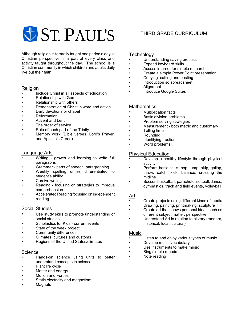# THIRD GRADE CURRICULUM

Although religion is formally taught one period a day, a Christian perspective is a part of every class and activity taught throughout the day. The school is a Christian community in which children and adults daily live out their faith.

## Religion

- Include Christ in all aspects of education
- Relationship with God
- Relationship with others
- Demonstration of Christ in word and action
- Daily devotions or chapel
- **Reformation**
- Advent and Lent
- The order of service
- Role of each part of the Trinity
- Memory work (Bible verses, Lord's Prayer, and Apostle's Creed)

## Language Arts

- Writing growth and learning to write full paragraphs
- Grammar parts of speech, paragraphing
- Weekly spelling unites differentiated to student's ability
- Cursive writing
- Reading focusing on strategies to improve comprehension
- Accelerated Reading focusing on independent reading

# Social Studies

- Use study skills to promote understanding of social studies
- Scholastics for Kids current events
- State of the week project
- Community differences
- Climates, cultures and customs
- Regions of the United States/climates

#### **Science**

- Hands-on science using units to better understand concepts in science
- Plant life cycle
- Matter and energy
- **Motion and Forces**
- Static electricity and magnetism
- **Magnets**

## **Technology**

- Understanding saving process
- Expand keyboard skills
- Access internet for simple research
- Create a simple Power Point presentation
- Copying, cutting and pasting
- Introduction so spreadsheet
- Alignment
- Introduce Google Suites

## **Mathematics**

- Multiplication facts
- Basic division problems
- Problem solving strategies
- Measurement both metric and customary
- Telling time
- Rounding
- Identifying fractions
- Word problems

## Physical Education

- Develop a healthy lifestyle through physical activity
- Perform basic skills: hop, jump, skip, gallop, throw, catch, kick, balance, crossing the midline
- Soccer, basketball, parachute, softball, dance, gymnastics, track and field events, volleyball

## Art

- Create projects using different kinds of media
- Drawing, painting, printmaking, sculpture
- Create art that shows personal ideas such as different subject matter, perspective
- Understand Art in relation to history (modern, historical, local, cultural)

### Music

- Listen to and enjoy various types of music
- Develop music vocabulary
- Use instruments to make music
- Sing simple rounds
	- Note reading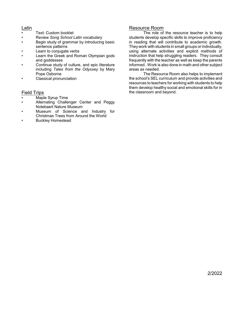#### Latin

- Text: Custom booklet
- Review *Song School Latin* vocabulary
- Begin study of grammar by introducing basic sentence patterns
- Learn to conjugate verbs
- Learn the Greek and Roman Olympian gods and goddesses
- Continue study of culture, and epic literature including *Tales from the Odyssey* by Mary Pope Osborne
- Classical pronunciation

## Field Trips

- Maple Syrup Time
- Alternating Challenger Center and Peggy Notebaert Nature Museum
- Museum of Science and Industry for Christmas Trees from Around the World
- **Buckley Homestead**

# Resource Room

The role of the resource teacher is to help students develop specific skills to improve proficiency in reading that will contribute to academic growth. They work with students in small groups or individually, using alternate activities and explicit methods of instruction that help struggling readers. They consult frequently with the teacher as well as keep the parents informed. Work is also done in math and other subject areas as needed.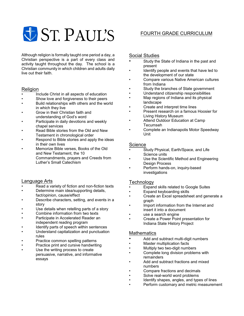Although religion is formally taught one period a day, a Christian perspective is a part of every class and activity taught throughout the day. The school is a Christian community in which children and adults daily

## Religion

live out their faith.

- Include Christ in all aspects of education
- Show love and forgiveness to their peers
- Build relationships with others and the world in which they live
- Grow in their Christian faith and understanding of God's word
- Participate in daily devotions and weekly chapel services
- Read Bible stories from the Old and New Testament in chronological order
- Respond to Bible stories and apply the ideas in their own lives
- Memorize Bible verses, Books of the Old and New Testament, the 10 Commandments, prayers and Creeds from Luther's Small Catechism

## Language Arts

- Read a variety of fiction and non-fiction texts
- Determine main idea/supporting details, fact/opinion, cause/effect
- Describe characters, setting, and events in a story
- Use details when retelling parts of a story
- Combine information from two texts
- Participate in Accelerated Reader an independent reading program
- Identify parts of speech within sentences
- Understand capitalization and punctuation rules
- Practice common spelling patterns
- Practice print and cursive handwriting
- Use the writing process to create persuasive, narrative, and informative essays

# FOURTH GRADE CURRICULUM

# Social Studies

- Study the State of Indiana in the past and present
- Identify people and events that have led to the development of our state
- Compare various Native American cultures from Indiana
- Study the branches of State government
- Understand citizenship responsibilities
- Map regions of Indiana and its physical landscape
- Create and interpret time lines
- Present research on a famous Hoosier for Living History Museum
- Attend Outdoor Education at Camp Tecumseh
- Complete an Indianapolis Motor Speedway Unit

## **Science**

- Study Physical, Earth/Space, and Life Science units
- Use the Scientific Method and Engineering Design Process
- Perform hands-on, inquiry-based investigations

## **Technology**

- Expand skills related to Google Suites
- Expand keyboarding skills
- Create an Excel spreadsheet and generate a graph
- Import information from the Internet and insert it into a document
- use a search engine
- Create a Power Point presentation for Indiana State History Project

## **Mathematics**

- Add and subtract multi-digit numbers
- Master multiplication facts
- Multiply two two-digit numbers
- Complete long division problems with remainders
- Add and subtract fractions and mixed numbers
- Compare fractions and decimals
- Solve real-world word problems
- Identify shapes, angles, and types of lines
- Perform customary and metric measurement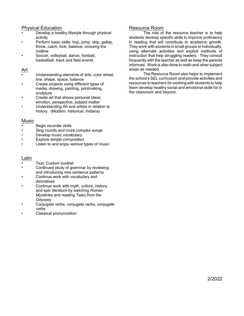- Develop a healthy lifestyle through physical activity
- Perform basic skills: hop, jump, skip, gallop, throw, catch, kick, balance, crossing the midline
- Soccer, volleyball, dance, football, basketball, track and field events

## Art

- Understanding elements of arts; color wheel, line, shape, space, balance
- Create projects using different types of media; drawing, painting, printmaking, sculpture
- Create art that shows personal ideas; emotion, perspective, subject matter
- Understanding Art and artists in relation to history. (Modern, historical, Indiana)

#### **Music**

- Begin recorder skills<br>• Sing rounds and more
- Sing rounds and more complex songs
- Develop music vocabulary
- Explore simple composition
- Listen to and enjoy various types of music

#### Latin

- Text: Custom booklet
- Continued study of grammar by reviewing and introducing new sentence patterns
- Continue work with vocabulary and derivatives
- Continue work with myth, culture, history, and epic literature by watching *Roman Mysteries* and reading *Tales from the Odyssey*
- *•* Conjugate verbs, conjugate verbs, conjugate verbs
- Classical pronunciation

# Resource Room

The role of the resource teacher is to help students develop specific skills to improve proficiency in reading that will contribute to academic growth. They work with students in small groups or individually, using alternate activities and explicit methods of instruction that help struggling readers. They consult frequently with the teacher as well as keep the parents informed. Work is also done in math and other subject areas as needed.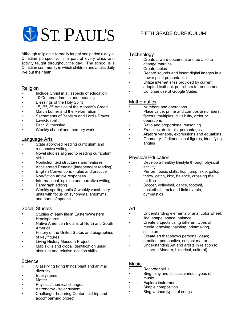Although religion is formally taught one period a day, a Christian perspective is a part of every class and activity taught throughout the day. The school is a Christian community in which children and adults daily live out their faith.

# Religion

- Include Christ in all aspects of education
- 10 Commandments and meaning
- Blessings of the Holy Spirit
- 1<sup>st</sup>, 2<sup>nd</sup>, 3<sup>rd</sup> Articles of the Apostle's Creed
- Martin Luther and the Reformation
- Sacraments of Baptism and Lord's Prayer
- Law/Gospel
- Faith Witnessing
- Weekly chapel and memory work

#### Language Arts

- State approved reading curriculum and responsive writing
- Novel studies aligned to reading curriculum skills
- Nonfiction text structures and features
- Accelerated Reading (independent reading)
- English Conventions rules and practice
- Non-fiction article responses
- Informational, opinion and narrative writing
- Paragraph editing
- Weekly spelling units & weekly vocabulary units with focus on synonyms, antonyms, and parts of speech

# Social Studies

- Studies of early life in Eastern/Western **Hemispheres**
- Native American Indians of North and South America
- History of the United States and biographies of key figures
- Living History Museum Project
- Map skills and global identification using absolute and relative location skills

# **Science**

- Classifying living things/plant and animal diversity
- **Ecosystems**
- **Matter**
- Physical/chemical changes
- Astronomy solar system
- Challenger Learning Center field trip and accompanying project

# FIFTH GRADE CURRICULUM

## **Technology**

- Create a word document and be able to change margins
- Create tables
- Record sounds and insert digital images in a power point presentation
- Utilize internet sites provided by current adopted textbook publishers for enrichment
- Continue use of Google Suites

# Mathematics

- Numbers and operations
- Place value, prime and composite numbers, factors, multiples, divisibility, order or operations
- Ratio and proportional reasoning
- Fractions, decimals, percentages
- Algebra variable, expressions and equations
- Geometry 2 dimensional figures, identifying angles

## Physical Education

- Develop a healthy lifestyle through physical activity
- Perform basic skills: hop, jump, skip, gallop, throw, catch, kick, balance, crossing the midline
- Soccer, volleyball, dance, football, basketball, track and field events, gymnastics

## Art

- Understanding elements of arts; color wheel, line, shape, space, balance
- Create projects using different types of media; drawing, painting, printmaking, sculpture
- Create art that shows personal ideas; emotion, perspective, subject matter
- Understanding Art and artists in relation to history. (Modern, historical, cultural)

#### Music

- Recorder skills
- Sing, play and discuss various types of music
- Explore instruments
- Simple composition
- Sing various types of songs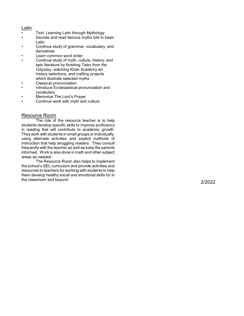#### Latin

- Text: *Learning Latin through Mythology*
- Dec ode and read fa mous m yths told in basic Lati n
- Continue study of gram mar, voc abulary, and deri vati ves
- Learn com m on word order
- Continue study of m yth, culture, hi story, and epi c literature by finishi n g *Tales from the* Odyssey, watching Khan Academy art history selections, and crafting projects which illustrate selected myths
- Clas sical pronunciation
- Introduce Ec cle siasti cal pronunciation and vocabulary
- Memorize The Lord's Prayer
- Continue work with m yth and culture

#### Resource Room

The role of the resource teacher is to help students develop specific s kills to improve proficienc y in reading that will contribute to academic growth. They work with students in small groups or individually, using alternate activities and explicit methods of instruction that help struggling readers. They consult frequently with the teacher as well as keep the parents informed. Work is also done in math and other subject areas as needed.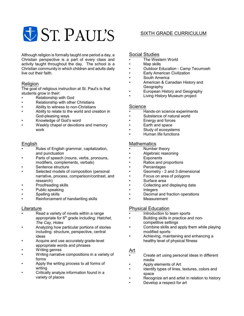# SIXTH GRADE CURRICULUM

Although religion is formally taught one period a day, a Christian perspective is a part of every class and activity taught throughout the day. The school is a Christian community in which children and adults daily live out their faith.

# **Religion**

The goal of religious instruction at St. Paul's is that students grow in their:

- Relationship with God
- Relationship with other Christians
- Ability to witness to non-Christians
- Ability to relate to the world and creation in God-pleasing ways
- Knowledge of God's word
- Weekly chapel or devotions and memory work

## English

- Rules of English grammar, capitalization, and punctuation
- Parts of speech (nouns, verbs, pronouns, modifiers, complements, verbals)
- Sentence structure
- Selected models of composition (personal narrative, process, comparison/contrast, and research)
- Proofreading skills
- Public speaking
- Spelling skills
- Reinforcement of handwriting skills

## Literature

- Read a variety of novels within a range appropriate for 6<sup>th</sup> grade including: *Hatchet*, *The Cay, Holes*
- Analyzing how particular portions of stories including: structure, perspective, central ideas
- Acquire and use accurately grade-level appropriate words and phrases
- Writing genres
- Writing narrative compositions in a variety of forms
- Apply the writing process to all forms of writing
- Critically analyze information found in a variety of places

### Social Studies

- The Western World
- Map skills
- Outdoor Education Camp Tecumseh
- Early American Civilization
- South America
- American & Canadian History and Geography
- European History and Geography
- Living History Museum project

### **Science**

- Hands-on science experiments
- Substance of natural world
- Energy and forces
- Earth and space
- Study of ecosystems
- Human life functions

## **Mathematics**

- Number theory
- Algebraic reasoning
- **Exponents**
- Ratios and proportions
- **Percentages**
- Geometry 2 and 3 dimensional
- Focus on area of polygons
- Surface area
- Collecting and displaying data
- Integers
- Decimal and fraction operations
- **Measurement**

# Physical Education

- Introduction to team sports
- Building skills in practice and noncompetitive settings
- Combine skills and apply them while playing modified sports
- Achieving, maintaining and enhancing a healthy level of physical fitness

## Art

- Create art using personal ideas in different media
- Apply elements of Art
- Identify types of lines, textures, colors and space
- Recognize art and artist in relation to history
- Develop a respect for art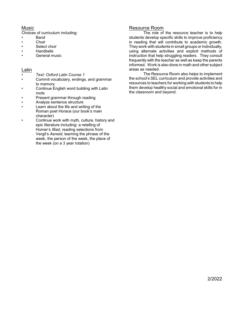# Music

Choices of curriculum including:

- Band
- **Choir**
- Select choir
- Handbells
- General music

# Latin

- *Text: Oxford Latin Course 1*
- Commit vocabulary, endings, and grammar to memory
- Continue English word building with Latin roots
- Present grammar through reading
- Analyze sentence structure
- Learn about the life and writing of the Roman poet Horace (our book's main character)
- Continue work with myth, culture, history and epic literature including: a retelling of Homer's *Illiad*, reading selections from Vergil's *Aeneid*, learning the phrase of the week, the person of the week, the place of the week (on a 3 year rotation)

# Resource Room

The role of the resource teacher is to help students develop specific skills to improve proficiency in reading that will contribute to academic growth. They work with students in small groups or individually, using alternate activities and explicit methods of instruction that help struggling readers. They consult frequently with the teacher as well as keep the parents informed. Work is also done in math and other subject areas as needed.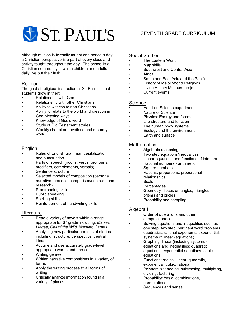Although religion is formally taught one period a day, a Christian perspective is a part of every class and activity taught throughout the day. The school is a Christian community in which children and adults daily live out their faith.

# Religion

The goal of religious instruction at St. Paul's is that students grow in their:

- Relationship with God
- Relationship with other Christians
- Ability to witness to non-Christians
- Ability to relate to the world and creation in God-pleasing ways
- Knowledge of God's word
- Study of Old Testament stories
- Weekly chapel or devotions and memory work

# **English**

- Rules of English grammar, capitalization, and punctuation
- Parts of speech (nouns, verbs, pronouns, modifiers, complements, verbals)
- Sentence structure
- Selected models of composition (personal narrative, process, comparison/contrast, and research)
- Proofreading skills
- Public speaking
- Spelling skills
- Reinforcement of handwriting skills

#### **Literature**

- Read a variety of novels within a range appropriate for 6<sup>th</sup> grade including: *Maniac Magee, Call of the Wild, Westing Games*
- Analyzing how particular portions of stories including: structure, perspective, central ideas
- Acquire and use accurately grade-level appropriate words and phrases
- Writing genres
- Writing narrative compositions in a variety of forms
- Apply the writing process to all forms of writing
- Critically analyze information found in a variety of places

# SEVENTH GRADE CURRICULUM

# Social Studies

- The Eastern World
- Map skills
- Southwest and Central Asia
- Africa
- South and East Asia and the Pacific
- History of Major World Religions
- Living History Museum project
- Current events

#### **Science**

- $\overline{\mathsf{H}}$ and-on Science experiments
- Nature of Science
- Physics: Energy and forces
- Life structure and function
- The human body systems
- Ecology and the environment
- Earth and surface

## **Mathematics**

- Algebraic reasoning
- Two step equations/inequalities
- Linear equations and functions of integers
- Rational numbers arithmetic
- Square numbers
- Rations, proportions, proportional relationships
- **Scale**
- **Percentages**
- Geometry focus on angles, triangles, prisms and circles
- Probability and sampling

# Algebra I

- Order of operations and other computation(s)
- Solving equations and inequalities such as one step, two step, pertinent word problems, quadratics, rational exponents, exponential, systems of linear (equations)
- Graphing: linear (including systems) equations and inequalities; quadratic equations, exponential equations, cubic equations
- Functions: radical, linear, quadratic, exponential, cubic, rational
- Polynomials: adding, subtracting, multiplying, dividing, factoring
- Probability: basic, combinations, permutations;
- Sequences and series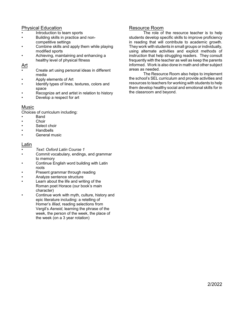- Introduction to team sports
- Building skills in practice and noncompetitive settings
- Combine skills and apply them while playing modified sports
- Achieving, maintaining and enhancing a healthy level of physical fitness

### Art

- Create art using personal ideas in different media
- Apply elements of Art
- Identify types of lines, textures, colors and space
- Recognize art and artist in relation to history
- Develop a respect for art

# Music

Choices of curriculum including:

- Band
- **Choir**
- Select choir
- Handbells
- General music

#### Latin

- *Text: Oxford Latin Course 1*
- Commit vocabulary, endings, and grammar to memory
- Continue English word building with Latin roots
- Present grammar through reading
- Analyze sentence structure
- Learn about the life and writing of the Roman poet Horace (our book's main character)
- Continue work with myth, culture, history and epic literature including: a retelling of Homer's *Illiad*, reading selections from Vergil's *Aeneid*, learning the phrase of the week, the person of the week, the place of the week (on a 3 year rotation)

# Resource Room

The role of the resource teacher is to help students develop specific skills to improve proficiency in reading that will contribute to academic growth. They work with students in small groups or individually, using alternate activities and explicit methods of instruction that help struggling readers. They consult frequently with the teacher as well as keep the parents informed. Work is also done in math and other subject areas as needed.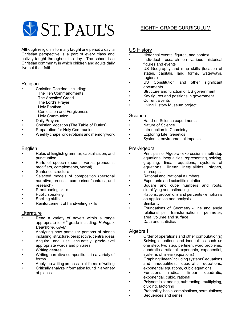

# EIGHTH GRADE CURRICULUM

Although religion is formally taught one period a day, a Christian perspective is a part of every class and activity taught throughout the day. The school is a Christian community in which children and adults daily live out their faith.

#### Religion

- Christian Doctrine, including:
	- The Ten Commandments
	- The Apostles' Creed
	- The Lord's Prayer
	- Holy Baptism
	- Confession and Forgiveness
	- Holy Communion
- Daily Prayers
- Christian Vocation (The Table of Duties)
- Preparation for Holy Communion
- Weekly chapel or devotions and memory work

#### English

- Rules of English grammar, capitalization, and punctuation
- Parts of speech (nouns, verbs, pronouns, modifiers, complements, verbal)
- Sentence structure
- Selected models of composition (personal narrative, process, comparison/contrast, and research)
- Proofreading skills
- Public speaking
- Spelling skills
- Reinforcement of handwriting skills

#### Literature

- Read a variety of novels within a range appropriate for 6<sup>th</sup> grade including: *Refugee, Bearstone, Giver*
- Analyzing how particular portions of stories including: structure, perspective, central ideas
- Acquire and use accurately grade-level appropriate words and phrases
- Writing genres
- Writing narrative compositions in a variety of forms
- Apply the writing process to all forms of writing
- Critically analyze information found in a variety of places

#### US History

- Historical events, figures, and context
- Individual research on various historical figures and events
- US Geography and map skills (location of states, capitals, land forms, waterways, regions)
- US Constitution and other significant documents
- Structure and function of US government
- Key figures and positions in government
- **Current Events**
- Living History Museum project

#### Science

- Hand-on Science experiments
- Nature of Science
- Introduction to Chemistry
- **Exploring Life: Genetics**
- Systems, environmental impacts

#### Pre-Algebra

- Principals of Algebra expressions, multi step equations, inequalities, representing, solving, graphing, linear equations, systems of equations, linear inequalities, slopes, intercepts
- Rational and irrational n umbers
- Exponents and scientific notation
- Square and cube numbers and roots, simplifying and estimating
- Rations, proportions and percents emphasis on application and analysis
- **Similarity**
- Foundations of Geometry line and angle relationships, transformations, perimeter, area, volume and surface
- Data and statistics

#### Algebra I

- Order of operations and other computation(s)
- Solving equations and inequalities such as one step, two step, pertinent word problems, quadratics, rational exponents, exponential, systems of linear (equations)
- Graphing: linear(including systems) equations and inequalities; quadratic equations, exponential equations, cubic equations<br>Functions: radical, linear, quad
- radical, linear, quadratic, exponential, cubic, rational
- Polynomials: adding, subtracting, multiplying, dividing, factoring
- Probability: basic, combinations, permutations;
- Sequences and series